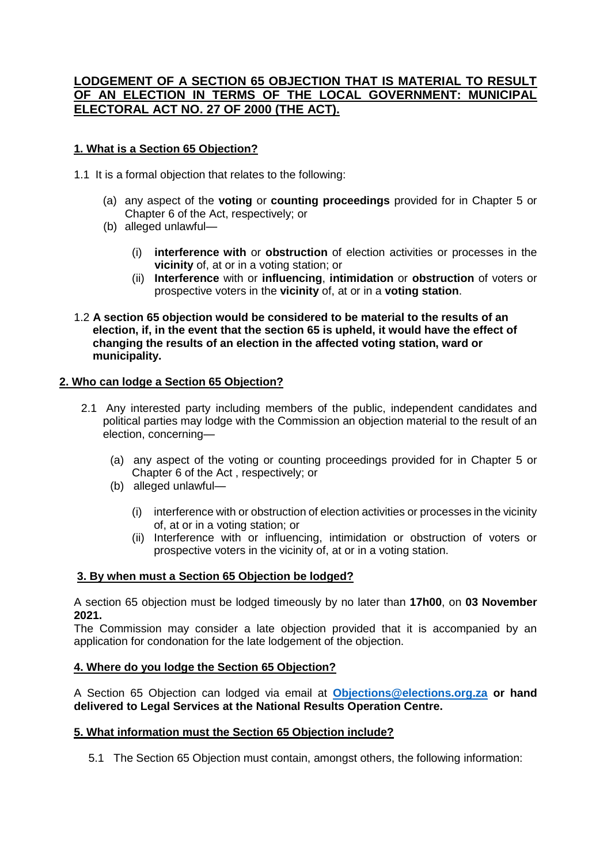# **LODGEMENT OF A SECTION 65 OBJECTION THAT IS MATERIAL TO RESULT OF AN ELECTION IN TERMS OF THE LOCAL GOVERNMENT: MUNICIPAL ELECTORAL ACT NO. 27 OF 2000 (THE ACT).**

## **1. What is a Section 65 Objection?**

1.1 It is a formal objection that relates to the following:

- (a) any aspect of the **voting** or **counting proceedings** provided for in Chapter 5 or Chapter 6 of the Act, respectively; or
- (b) alleged unlawful—
	- (i) **interference with** or **obstruction** of election activities or processes in the **vicinity** of, at or in a voting station; or
	- (ii) **Interference** with or **influencing**, **intimidation** or **obstruction** of voters or prospective voters in the **vicinity** of, at or in a **voting station**.
- 1.2 **A section 65 objection would be considered to be material to the results of an election, if, in the event that the section 65 is upheld, it would have the effect of changing the results of an election in the affected voting station, ward or municipality.**

#### **2. Who can lodge a Section 65 Objection?**

- 2.1 Any interested party including members of the public, independent candidates and political parties may lodge with the Commission an objection material to the result of an election, concerning—
	- (a) any aspect of the voting or counting proceedings provided for in Chapter 5 or Chapter 6 of the Act , respectively; or
	- (b) alleged unlawful—
		- (i) interference with or obstruction of election activities or processes in the vicinity of, at or in a voting station; or
		- (ii) Interference with or influencing, intimidation or obstruction of voters or prospective voters in the vicinity of, at or in a voting station.

#### **3. By when must a Section 65 Objection be lodged?**

A section 65 objection must be lodged timeously by no later than **17h00**, on **03 November 2021.**

The Commission may consider a late objection provided that it is accompanied by an application for condonation for the late lodgement of the objection.

#### **4. Where do you lodge the Section 65 Objection?**

A Section 65 Objection can lodged via email at **[Objections@elections.org.za](mailto:Objections@elections.org.za) or hand delivered to Legal Services at the National Results Operation Centre.**

#### **5. What information must the Section 65 Objection include?**

5.1 The Section 65 Objection must contain, amongst others, the following information: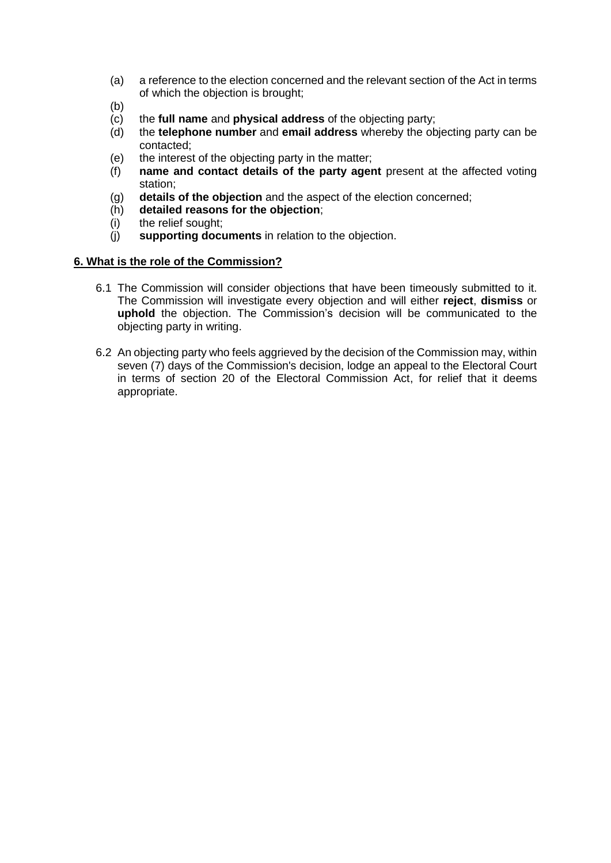- (a) a reference to the election concerned and the relevant section of the Act in terms of which the objection is brought;
- (b)
- (c) the **full name** and **physical address** of the objecting party;
- (d) the **telephone number** and **email address** whereby the objecting party can be contacted;
- (e) the interest of the objecting party in the matter;
- (f) **name and contact details of the party agent** present at the affected voting station;
- (g) **details of the objection** and the aspect of the election concerned;
- (h) **detailed reasons for the objection**;
- (i) the relief sought;
- (j) **supporting documents** in relation to the objection.

#### **6. What is the role of the Commission?**

- 6.1 The Commission will consider objections that have been timeously submitted to it. The Commission will investigate every objection and will either **reject**, **dismiss** or **uphold** the objection. The Commission's decision will be communicated to the objecting party in writing.
- 6.2 An objecting party who feels aggrieved by the decision of the Commission may, within seven (7) days of the Commission's decision, lodge an appeal to the Electoral Court in terms of section 20 of the Electoral Commission Act, for relief that it deems appropriate.